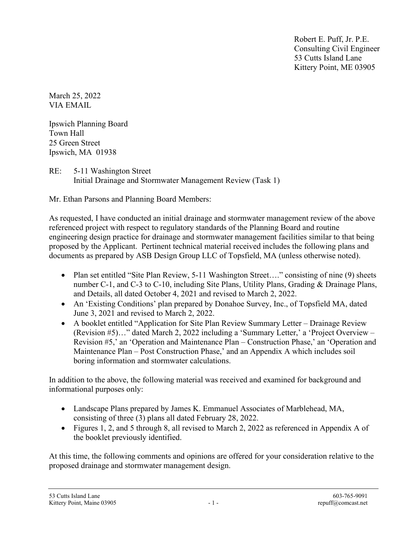Robert E. Puff, Jr. P.E. Consulting Civil Engineer 53 Cutts Island Lane Kittery Point, ME 03905

March 25, 2022 VIA EMAIL

Ipswich Planning Board Town Hall 25 Green Street Ipswich, MA 01938

RE: 5-11 Washington Street Initial Drainage and Stormwater Management Review (Task 1)

Mr. Ethan Parsons and Planning Board Members:

As requested, I have conducted an initial drainage and stormwater management review of the above referenced project with respect to regulatory standards of the Planning Board and routine engineering design practice for drainage and stormwater management facilities similar to that being proposed by the Applicant. Pertinent technical material received includes the following plans and documents as prepared by ASB Design Group LLC of Topsfield, MA (unless otherwise noted).

- Plan set entitled "Site Plan Review, 5-11 Washington Street...." consisting of nine (9) sheets number C-1, and C-3 to C-10, including Site Plans, Utility Plans, Grading & Drainage Plans, and Details, all dated October 4, 2021 and revised to March 2, 2022.
- An 'Existing Conditions' plan prepared by Donahoe Survey, Inc., of Topsfield MA, dated June 3, 2021 and revised to March 2, 2022.
- A booklet entitled "Application for Site Plan Review Summary Letter Drainage Review (Revision #5)…" dated March 2, 2022 including a 'Summary Letter,' a 'Project Overview – Revision #5,' an 'Operation and Maintenance Plan – Construction Phase,' an 'Operation and Maintenance Plan – Post Construction Phase,' and an Appendix A which includes soil boring information and stormwater calculations.

In addition to the above, the following material was received and examined for background and informational purposes only:

- Landscape Plans prepared by James K. Emmanuel Associates of Marblehead, MA, consisting of three (3) plans all dated February 28, 2022.
- Figures 1, 2, and 5 through 8, all revised to March 2, 2022 as referenced in Appendix A of the booklet previously identified.

At this time, the following comments and opinions are offered for your consideration relative to the proposed drainage and stormwater management design.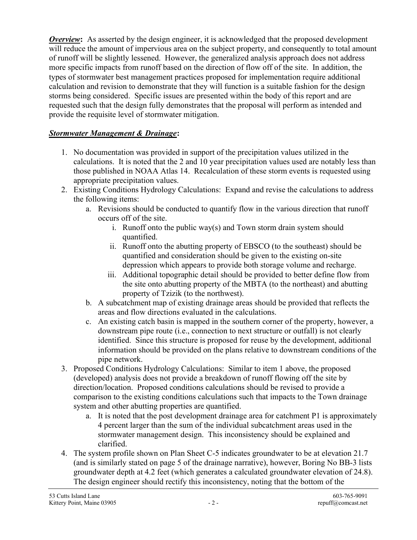**Overview:** As asserted by the design engineer, it is acknowledged that the proposed development will reduce the amount of impervious area on the subject property, and consequently to total amount of runoff will be slightly lessened. However, the generalized analysis approach does not address more specific impacts from runoff based on the direction of flow off of the site. In addition, the types of stormwater best management practices proposed for implementation require additional calculation and revision to demonstrate that they will function is a suitable fashion for the design storms being considered. Specific issues are presented within the body of this report and are requested such that the design fully demonstrates that the proposal will perform as intended and provide the requisite level of stormwater mitigation.

## Stormwater Management & Drainage:

- 1. No documentation was provided in support of the precipitation values utilized in the calculations. It is noted that the 2 and 10 year precipitation values used are notably less than those published in NOAA Atlas 14. Recalculation of these storm events is requested using appropriate precipitation values.
- 2. Existing Conditions Hydrology Calculations: Expand and revise the calculations to address the following items:
	- a. Revisions should be conducted to quantify flow in the various direction that runoff occurs off of the site.
		- i. Runoff onto the public way(s) and Town storm drain system should quantified.
		- ii. Runoff onto the abutting property of EBSCO (to the southeast) should be quantified and consideration should be given to the existing on-site depression which appears to provide both storage volume and recharge.
		- iii. Additional topographic detail should be provided to better define flow from the site onto abutting property of the MBTA (to the northeast) and abutting property of Tzizik (to the northwest).
	- b. A subcatchment map of existing drainage areas should be provided that reflects the areas and flow directions evaluated in the calculations.
	- c. An existing catch basin is mapped in the southern corner of the property, however, a downstream pipe route (i.e., connection to next structure or outfall) is not clearly identified. Since this structure is proposed for reuse by the development, additional information should be provided on the plans relative to downstream conditions of the pipe network.
- 3. Proposed Conditions Hydrology Calculations: Similar to item 1 above, the proposed (developed) analysis does not provide a breakdown of runoff flowing off the site by direction/location. Proposed conditions calculations should be revised to provide a comparison to the existing conditions calculations such that impacts to the Town drainage system and other abutting properties are quantified.
	- a. It is noted that the post development drainage area for catchment P1 is approximately 4 percent larger than the sum of the individual subcatchment areas used in the stormwater management design. This inconsistency should be explained and clarified.
- 4. The system profile shown on Plan Sheet C-5 indicates groundwater to be at elevation 21.7 (and is similarly stated on page 5 of the drainage narrative), however, Boring No BB-3 lists groundwater depth at 4.2 feet (which generates a calculated groundwater elevation of 24.8). The design engineer should rectify this inconsistency, noting that the bottom of the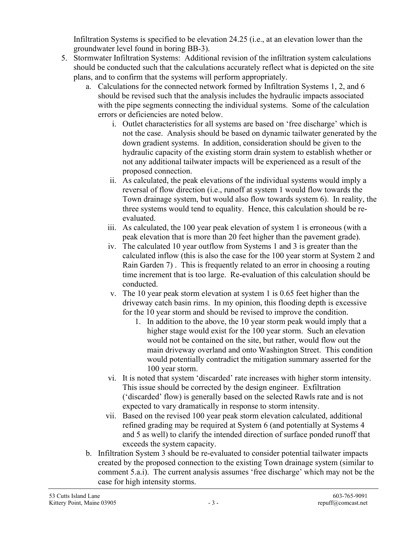Infiltration Systems is specified to be elevation 24.25 (i.e., at an elevation lower than the groundwater level found in boring BB-3).

- 5. Stormwater Infiltration Systems: Additional revision of the infiltration system calculations should be conducted such that the calculations accurately reflect what is depicted on the site plans, and to confirm that the systems will perform appropriately.
	- a. Calculations for the connected network formed by Infiltration Systems 1, 2, and 6 should be revised such that the analysis includes the hydraulic impacts associated with the pipe segments connecting the individual systems. Some of the calculation errors or deficiencies are noted below.
		- i. Outlet characteristics for all systems are based on 'free discharge' which is not the case. Analysis should be based on dynamic tailwater generated by the down gradient systems. In addition, consideration should be given to the hydraulic capacity of the existing storm drain system to establish whether or not any additional tailwater impacts will be experienced as a result of the proposed connection.
		- ii. As calculated, the peak elevations of the individual systems would imply a reversal of flow direction (i.e., runoff at system 1 would flow towards the Town drainage system, but would also flow towards system 6). In reality, the three systems would tend to equality. Hence, this calculation should be reevaluated.
		- iii. As calculated, the 100 year peak elevation of system 1 is erroneous (with a peak elevation that is more than 20 feet higher than the pavement grade).
		- iv. The calculated 10 year outflow from Systems 1 and 3 is greater than the calculated inflow (this is also the case for the 100 year storm at System 2 and Rain Garden 7) . This is frequently related to an error in choosing a routing time increment that is too large. Re-evaluation of this calculation should be conducted.
		- v. The 10 year peak storm elevation at system 1 is 0.65 feet higher than the driveway catch basin rims. In my opinion, this flooding depth is excessive for the 10 year storm and should be revised to improve the condition.
			- 1. In addition to the above, the 10 year storm peak would imply that a higher stage would exist for the 100 year storm. Such an elevation would not be contained on the site, but rather, would flow out the main driveway overland and onto Washington Street. This condition would potentially contradict the mitigation summary asserted for the 100 year storm.
		- vi. It is noted that system 'discarded' rate increases with higher storm intensity. This issue should be corrected by the design engineer. Exfiltration ('discarded' flow) is generally based on the selected Rawls rate and is not expected to vary dramatically in response to storm intensity.
		- vii. Based on the revised 100 year peak storm elevation calculated, additional refined grading may be required at System 6 (and potentially at Systems 4 and 5 as well) to clarify the intended direction of surface ponded runoff that exceeds the system capacity.
	- b. Infiltration System 3 should be re-evaluated to consider potential tailwater impacts created by the proposed connection to the existing Town drainage system (similar to comment 5.a.i). The current analysis assumes 'free discharge' which may not be the case for high intensity storms.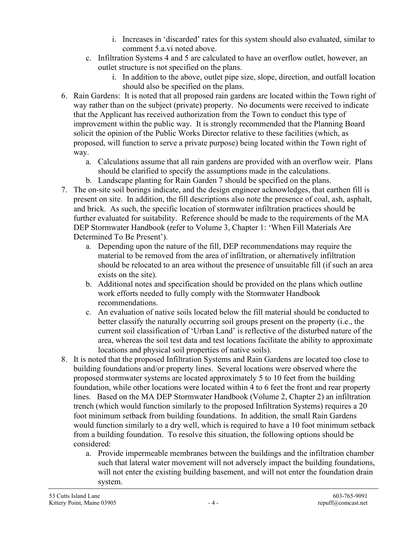- i. Increases in 'discarded' rates for this system should also evaluated, similar to comment 5.a.vi noted above.
- c. Infiltration Systems 4 and 5 are calculated to have an overflow outlet, however, an outlet structure is not specified on the plans.
	- i. In addition to the above, outlet pipe size, slope, direction, and outfall location should also be specified on the plans.
- 6. Rain Gardens: It is noted that all proposed rain gardens are located within the Town right of way rather than on the subject (private) property. No documents were received to indicate that the Applicant has received authorization from the Town to conduct this type of improvement within the public way. It is strongly recommended that the Planning Board solicit the opinion of the Public Works Director relative to these facilities (which, as proposed, will function to serve a private purpose) being located within the Town right of way.
	- a. Calculations assume that all rain gardens are provided with an overflow weir. Plans should be clarified to specify the assumptions made in the calculations.
	- b. Landscape planting for Rain Garden 7 should be specified on the plans.
- 7. The on-site soil borings indicate, and the design engineer acknowledges, that earthen fill is present on site. In addition, the fill descriptions also note the presence of coal, ash, asphalt, and brick. As such, the specific location of stormwater infiltration practices should be further evaluated for suitability. Reference should be made to the requirements of the MA DEP Stormwater Handbook (refer to Volume 3, Chapter 1: 'When Fill Materials Are Determined To Be Present').
	- a. Depending upon the nature of the fill, DEP recommendations may require the material to be removed from the area of infiltration, or alternatively infiltration should be relocated to an area without the presence of unsuitable fill (if such an area exists on the site).
	- b. Additional notes and specification should be provided on the plans which outline work efforts needed to fully comply with the Stormwater Handbook recommendations.
	- c. An evaluation of native soils located below the fill material should be conducted to better classify the naturally occurring soil groups present on the property (i.e., the current soil classification of 'Urban Land' is reflective of the disturbed nature of the area, whereas the soil test data and test locations facilitate the ability to approximate locations and physical soil properties of native soils).
- 8. It is noted that the proposed Infiltration Systems and Rain Gardens are located too close to building foundations and/or property lines. Several locations were observed where the proposed stormwater systems are located approximately 5 to 10 feet from the building foundation, while other locations were located within 4 to 6 feet the front and rear property lines. Based on the MA DEP Stormwater Handbook (Volume 2, Chapter 2) an infiltration trench (which would function similarly to the proposed Infiltration Systems) requires a 20 foot minimum setback from building foundations. In addition, the small Rain Gardens would function similarly to a dry well, which is required to have a 10 foot minimum setback from a building foundation. To resolve this situation, the following options should be considered:
	- a. Provide impermeable membranes between the buildings and the infiltration chamber such that lateral water movement will not adversely impact the building foundations, will not enter the existing building basement, and will not enter the foundation drain system.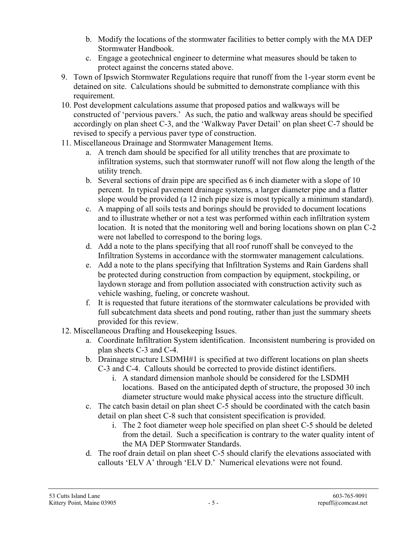- b. Modify the locations of the stormwater facilities to better comply with the MA DEP Stormwater Handbook.
- c. Engage a geotechnical engineer to determine what measures should be taken to protect against the concerns stated above.
- 9. Town of Ipswich Stormwater Regulations require that runoff from the 1-year storm event be detained on site. Calculations should be submitted to demonstrate compliance with this requirement.
- 10. Post development calculations assume that proposed patios and walkways will be constructed of 'pervious pavers.' As such, the patio and walkway areas should be specified accordingly on plan sheet C-3, and the 'Walkway Paver Detail' on plan sheet C-7 should be revised to specify a pervious paver type of construction.
- 11. Miscellaneous Drainage and Stormwater Management Items.
	- a. A trench dam should be specified for all utility trenches that are proximate to infiltration systems, such that stormwater runoff will not flow along the length of the utility trench.
	- b. Several sections of drain pipe are specified as 6 inch diameter with a slope of 10 percent. In typical pavement drainage systems, a larger diameter pipe and a flatter slope would be provided (a 12 inch pipe size is most typically a minimum standard).
	- c. A mapping of all soils tests and borings should be provided to document locations and to illustrate whether or not a test was performed within each infiltration system location. It is noted that the monitoring well and boring locations shown on plan C-2 were not labelled to correspond to the boring logs.
	- d. Add a note to the plans specifying that all roof runoff shall be conveyed to the Infiltration Systems in accordance with the stormwater management calculations.
	- e. Add a note to the plans specifying that Infiltration Systems and Rain Gardens shall be protected during construction from compaction by equipment, stockpiling, or laydown storage and from pollution associated with construction activity such as vehicle washing, fueling, or concrete washout.
	- f. It is requested that future iterations of the stormwater calculations be provided with full subcatchment data sheets and pond routing, rather than just the summary sheets provided for this review.
- 12. Miscellaneous Drafting and Housekeeping Issues.
	- a. Coordinate Infiltration System identification. Inconsistent numbering is provided on plan sheets C-3 and C-4.
	- b. Drainage structure LSDMH#1 is specified at two different locations on plan sheets C-3 and C-4. Callouts should be corrected to provide distinct identifiers.
		- i. A standard dimension manhole should be considered for the LSDMH locations. Based on the anticipated depth of structure, the proposed 30 inch diameter structure would make physical access into the structure difficult.
	- c. The catch basin detail on plan sheet C-5 should be coordinated with the catch basin detail on plan sheet C-8 such that consistent specification is provided.
		- i. The 2 foot diameter weep hole specified on plan sheet C-5 should be deleted from the detail. Such a specification is contrary to the water quality intent of the MA DEP Stormwater Standards.
	- d. The roof drain detail on plan sheet C-5 should clarify the elevations associated with callouts 'ELV A' through 'ELV D.' Numerical elevations were not found.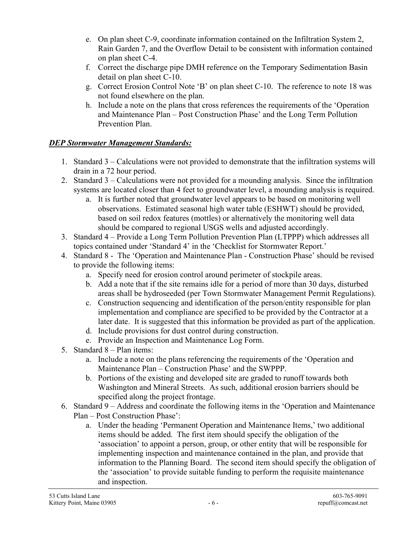- e. On plan sheet C-9, coordinate information contained on the Infiltration System 2, Rain Garden 7, and the Overflow Detail to be consistent with information contained on plan sheet C-4.
- f. Correct the discharge pipe DMH reference on the Temporary Sedimentation Basin detail on plan sheet C-10.
- g. Correct Erosion Control Note 'B' on plan sheet C-10. The reference to note 18 was not found elsewhere on the plan.
- h. Include a note on the plans that cross references the requirements of the 'Operation and Maintenance Plan – Post Construction Phase' and the Long Term Pollution Prevention Plan.

## DEP Stormwater Management Standards:

- 1. Standard 3 Calculations were not provided to demonstrate that the infiltration systems will drain in a 72 hour period.
- 2. Standard 3 Calculations were not provided for a mounding analysis. Since the infiltration systems are located closer than 4 feet to groundwater level, a mounding analysis is required.
	- a. It is further noted that groundwater level appears to be based on monitoring well observations. Estimated seasonal high water table (ESHWT) should be provided, based on soil redox features (mottles) or alternatively the monitoring well data should be compared to regional USGS wells and adjusted accordingly.
- 3. Standard 4 Provide a Long Term Pollution Prevention Plan (LTPPP) which addresses all topics contained under 'Standard 4' in the 'Checklist for Stormwater Report.'
- 4. Standard 8 The 'Operation and Maintenance Plan Construction Phase' should be revised to provide the following items:
	- a. Specify need for erosion control around perimeter of stockpile areas.
	- b. Add a note that if the site remains idle for a period of more than 30 days, disturbed areas shall be hydroseeded (per Town Stormwater Management Permit Regulations).
	- c. Construction sequencing and identification of the person/entity responsible for plan implementation and compliance are specified to be provided by the Contractor at a later date. It is suggested that this information be provided as part of the application.
	- d. Include provisions for dust control during construction.
	- e. Provide an Inspection and Maintenance Log Form.
- 5. Standard 8 Plan items:
	- a. Include a note on the plans referencing the requirements of the 'Operation and Maintenance Plan – Construction Phase' and the SWPPP.
	- b. Portions of the existing and developed site are graded to runoff towards both Washington and Mineral Streets. As such, additional erosion barriers should be specified along the project frontage.
- 6. Standard 9 Address and coordinate the following items in the 'Operation and Maintenance Plan – Post Construction Phase':
	- a. Under the heading 'Permanent Operation and Maintenance Items,' two additional items should be added. The first item should specify the obligation of the 'association' to appoint a person, group, or other entity that will be responsible for implementing inspection and maintenance contained in the plan, and provide that information to the Planning Board. The second item should specify the obligation of the 'association' to provide suitable funding to perform the requisite maintenance and inspection.